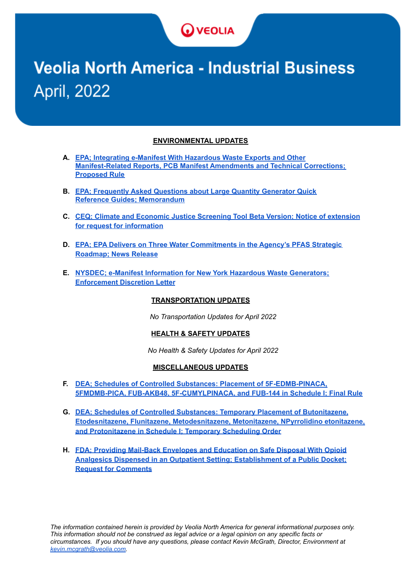# **VEOLIA**

# **Veolia North America - Industrial Business April, 2022**

#### **ENVIRONMENTAL UPDATES**

- **A. EPA; [Integrating](#page-1-0) e-Manifest With Hazardous Waste Exports and Other [Manifest-Related](#page-1-0) Reports, PCB Manifest Amendments and Technical Corrections; [Proposed](#page-1-0) Rule**
- **B. EPA; [Frequently](#page-3-0) Asked Questions about Large Quantity Generator Quick Reference Guides; [Memorandum](#page-3-0)**
- **C. CEQ; Climate and Economic Justice [Screening](#page-4-0) Tool Beta Version; Notice of extension for request for [information](#page-4-0)**
- **D. EPA; EPA Delivers on Three Water [Commitments](#page-4-1) in the Agency's PFAS Strategic [Roadmap;](#page-4-1) News Release**
- **E. NYSDEC; e-Manifest Information for New York Hazardous Waste [Generators;](#page-6-0) [Enforcement](#page-6-0) Discretion Letter**

#### **TRANSPORTATION UPDATES**

*No Transportation Updates for April 2022*

#### **HEALTH & SAFETY UPDATES**

*No Health & Safety Updates for April 2022*

#### **MISCELLANEOUS UPDATES**

- **F. DEA; Schedules of Controlled Substances: Placement of [5F-EDMB-PINACA,](#page-7-0) 5FMDMB-PICA, FUB-AKB48, [5F-CUMYLPINACA,](#page-7-0) and FUB-144 in Schedule I; Final Rule**
- **G. DEA; Schedules of Controlled Substances: Temporary Placement of [Butonitazene,](#page-7-1) Etodesnitazene, Flunitazene, [Metodesnitazene,](#page-7-1) Metonitazene, NPyrrolidino etonitazene, and [Protonitazene](#page-7-1) in Schedule I; Temporary Scheduling Order**
- **H. FDA; Providing Mail-Back [Envelopes](#page-8-0) and Education on Safe Disposal With Opioid Analgesics Dispensed in an Outpatient Setting; [Establishment](#page-8-0) of a Public Docket; Request for [Comments](#page-8-0)**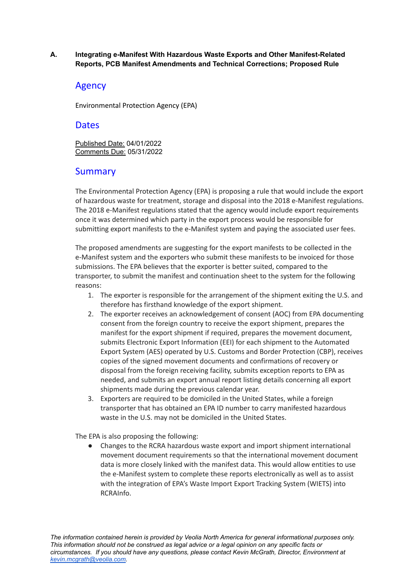#### <span id="page-1-0"></span>**A. Integrating e-Manifest With Hazardous Waste Exports and Other Manifest-Related Reports, PCB Manifest Amendments and Technical Corrections; Proposed Rule**

## Agency

Environmental Protection Agency (EPA)

## **Dates**

Published Date: 04/01/2022 Comments Due: 05/31/2022

# **Summary**

The Environmental Protection Agency (EPA) is proposing a rule that would include the export of hazardous waste for treatment, storage and disposal into the 2018 e-Manifest regulations. The 2018 e-Manifest regulations stated that the agency would include export requirements once it was determined which party in the export process would be responsible for submitting export manifests to the e-Manifest system and paying the associated user fees.

The proposed amendments are suggesting for the export manifests to be collected in the e-Manifest system and the exporters who submit these manifests to be invoiced for those submissions. The EPA believes that the exporter is better suited, compared to the transporter, to submit the manifest and continuation sheet to the system for the following reasons:

- 1. The exporter is responsible for the arrangement of the shipment exiting the U.S. and therefore has firsthand knowledge of the export shipment.
- 2. The exporter receives an acknowledgement of consent (AOC) from EPA documenting consent from the foreign country to receive the export shipment, prepares the manifest for the export shipment if required, prepares the movement document, submits Electronic Export Information (EEI) for each shipment to the Automated Export System (AES) operated by U.S. Customs and Border Protection (CBP), receives copies of the signed movement documents and confirmations of recovery or disposal from the foreign receiving facility, submits exception reports to EPA as needed, and submits an export annual report listing details concerning all export shipments made during the previous calendar year.
- 3. Exporters are required to be domiciled in the United States, while a foreign transporter that has obtained an EPA ID number to carry manifested hazardous waste in the U.S. may not be domiciled in the United States.

The EPA is also proposing the following:

Changes to the RCRA hazardous waste export and import shipment international movement document requirements so that the international movement document data is more closely linked with the manifest data. This would allow entities to use the e-Manifest system to complete these reports electronically as well as to assist with the integration of EPA's Waste Import Export Tracking System (WIETS) into RCRAInfo.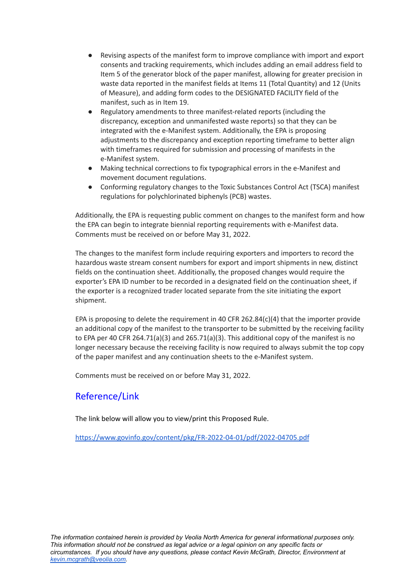- Revising aspects of the manifest form to improve compliance with import and export consents and tracking requirements, which includes adding an email address field to Item 5 of the generator block of the paper manifest, allowing for greater precision in waste data reported in the manifest fields at Items 11 (Total Quantity) and 12 (Units of Measure), and adding form codes to the DESIGNATED FACILITY field of the manifest, such as in Item 19.
- Regulatory amendments to three manifest-related reports (including the discrepancy, exception and unmanifested waste reports) so that they can be integrated with the e-Manifest system. Additionally, the EPA is proposing adjustments to the discrepancy and exception reporting timeframe to better align with timeframes required for submission and processing of manifests in the e-Manifest system.
- Making technical corrections to fix typographical errors in the e-Manifest and movement document regulations.
- Conforming regulatory changes to the Toxic Substances Control Act (TSCA) manifest regulations for polychlorinated biphenyls (PCB) wastes.

Additionally, the EPA is requesting public comment on changes to the manifest form and how the EPA can begin to integrate biennial reporting requirements with e-Manifest data. Comments must be received on or before May 31, 2022.

The changes to the manifest form include requiring exporters and importers to record the hazardous waste stream consent numbers for export and import shipments in new, distinct fields on the continuation sheet. Additionally, the proposed changes would require the exporter's EPA ID number to be recorded in a designated field on the continuation sheet, if the exporter is a recognized trader located separate from the site initiating the export shipment.

EPA is proposing to delete the requirement in 40 CFR 262.84(c)(4) that the importer provide an additional copy of the manifest to the transporter to be submitted by the receiving facility to EPA per 40 CFR 264.71(a)(3) and 265.71(a)(3). This additional copy of the manifest is no longer necessary because the receiving facility is now required to always submit the top copy of the paper manifest and any continuation sheets to the e-Manifest system.

Comments must be received on or before May 31, 2022.

# Reference/Link

The link below will allow you to view/print this Proposed Rule.

<https://www.govinfo.gov/content/pkg/FR-2022-04-01/pdf/2022-04705.pdf>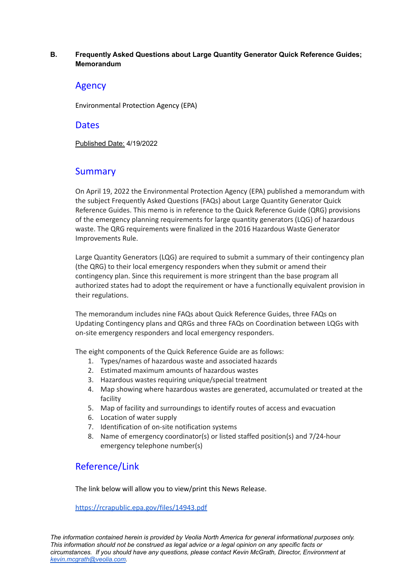#### <span id="page-3-0"></span>**B. Frequently Asked Questions about Large Quantity Generator Quick Reference Guides; Memorandum**

## Agency

Environmental Protection Agency (EPA)

## **Dates**

Published Date: 4/19/2022

# **Summary**

On April 19, 2022 the Environmental Protection Agency (EPA) published a memorandum with the subject Frequently Asked Questions (FAQs) about Large Quantity Generator Quick Reference Guides. This memo is in reference to the Quick Reference Guide (QRG) provisions of the emergency planning requirements for large quantity generators (LQG) of hazardous waste. The QRG requirements were finalized in the 2016 Hazardous Waste Generator Improvements Rule.

Large Quantity Generators (LQG) are required to submit a summary of their contingency plan (the QRG) to their local emergency responders when they submit or amend their contingency plan. Since this requirement is more stringent than the base program all authorized states had to adopt the requirement or have a functionally equivalent provision in their regulations.

The memorandum includes nine FAQs about Quick Reference Guides, three FAQs on Updating Contingency plans and QRGs and three FAQs on Coordination between LQGs with on-site emergency responders and local emergency responders.

The eight components of the Quick Reference Guide are as follows:

- 1. Types/names of hazardous waste and associated hazards
- 2. Estimated maximum amounts of hazardous wastes
- 3. Hazardous wastes requiring unique/special treatment
- 4. Map showing where hazardous wastes are generated, accumulated or treated at the facility
- 5. Map of facility and surroundings to identify routes of access and evacuation
- 6. Location of water supply
- 7. Identification of on-site notification systems
- 8. Name of emergency coordinator(s) or listed staffed position(s) and 7/24-hour emergency telephone number(s)

# Reference/Link

The link below will allow you to view/print this News Release.

<https://rcrapublic.epa.gov/files/14943.pdf>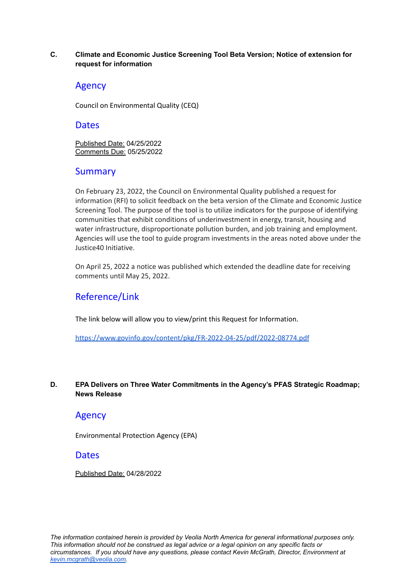#### <span id="page-4-0"></span>**C. Climate and Economic Justice Screening Tool Beta Version; Notice of extension for request for information**

## Agency

Council on Environmental Quality (CEQ)

## **Dates**

Published Date: 04/25/2022 Comments Due: 05/25/2022

# **Summary**

On February 23, 2022, the Council on Environmental Quality published a request for information (RFI) to solicit feedback on the beta version of the Climate and Economic Justice Screening Tool. The purpose of the tool is to utilize indicators for the purpose of identifying communities that exhibit conditions of underinvestment in energy, transit, housing and water infrastructure, disproportionate pollution burden, and job training and employment. Agencies will use the tool to guide program investments in the areas noted above under the Justice40 Initiative.

On April 25, 2022 a notice was published which extended the deadline date for receiving comments until May 25, 2022.

# Reference/Link

The link below will allow you to view/print this Request for Information.

<https://www.govinfo.gov/content/pkg/FR-2022-04-25/pdf/2022-08774.pdf>

#### <span id="page-4-1"></span>**D. EPA Delivers on Three Water Commitments in the Agency's PFAS Strategic Roadmap; News Release**

# Agency

Environmental Protection Agency (EPA)

## **Dates**

Published Date: 04/28/2022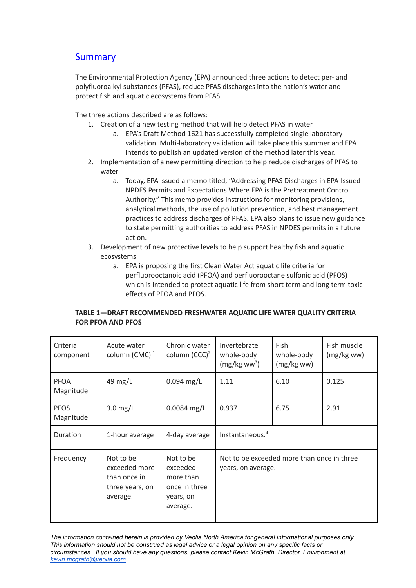# Summary

The Environmental Protection Agency (EPA) announced three actions to detect per- and polyfluoroalkyl substances (PFAS), reduce PFAS discharges into the nation's water and protect fish and aquatic ecosystems from PFAS.

The three actions described are as follows:

- 1. Creation of a new testing method that will help detect PFAS in water
	- a. EPA's Draft Method 1621 has successfully completed single laboratory validation. Multi-laboratory validation will take place this summer and EPA intends to publish an updated version of the method later this year.
- 2. Implementation of a new permitting direction to help reduce discharges of PFAS to water
	- a. Today, EPA issued a memo titled, "Addressing PFAS Discharges in EPA-Issued NPDES Permits and Expectations Where EPA is the Pretreatment Control Authority." This memo provides instructions for monitoring provisions, analytical methods, the use of pollution prevention, and best management practices to address discharges of PFAS. EPA also plans to issue new guidance to state permitting authorities to address PFAS in NPDES permits in a future action.
- 3. Development of new protective levels to help support healthy fish and aquatic ecosystems
	- a. EPA is proposing the first Clean Water Act aquatic life criteria for perfluorooctanoic acid (PFOA) and perfluorooctane sulfonic acid (PFOS) which is intended to protect aquatic life from short term and long term toxic effects of PFOA and PFOS.

| Criteria<br>component    | Acute water<br>column (CMC) $1$                                           | Chronic water<br>column $(CCC)^2$                                            | Invertebrate<br>whole-body<br>(mg/kg ww <sup>3</sup> )           | <b>Fish</b><br>whole-body<br>(mg/kg ww) | Fish muscle<br>$(mg/kg$ ww) |
|--------------------------|---------------------------------------------------------------------------|------------------------------------------------------------------------------|------------------------------------------------------------------|-----------------------------------------|-----------------------------|
| <b>PFOA</b><br>Magnitude | 49 mg/L                                                                   | $0.094$ mg/L                                                                 | 1.11                                                             | 6.10                                    | 0.125                       |
| <b>PFOS</b><br>Magnitude | $3.0$ mg/L                                                                | $0.0084$ mg/L                                                                | 0.937                                                            | 6.75                                    | 2.91                        |
| Duration                 | 1-hour average                                                            | 4-day average                                                                | Instantaneous. <sup>4</sup>                                      |                                         |                             |
| Frequency                | Not to be<br>exceeded more<br>than once in<br>three years, on<br>average. | Not to be<br>exceeded<br>more than<br>once in three<br>years, on<br>average. | Not to be exceeded more than once in three<br>years, on average. |                                         |                             |

#### **TABLE 1—DRAFT RECOMMENDED FRESHWATER AQUATIC LIFE WATER QUALITY CRITERIA FOR PFOA AND PFOS**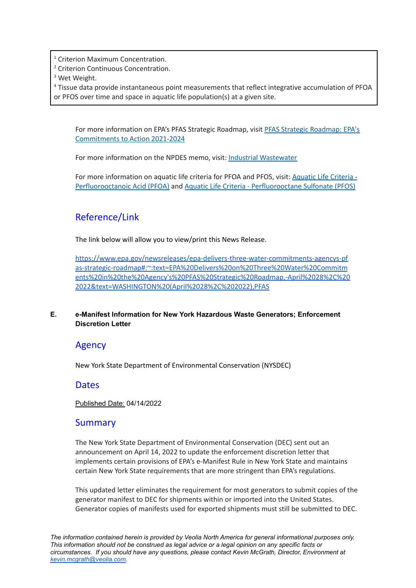<sup>1</sup> Criterion Maximum Concentration.

<sup>2</sup> Criterion Continuous Concentration.

<sup>3</sup> Wet Weight.

<sup>4</sup> Tissue data provide instantaneous point measurements that reflect integrative accumulation of PFOA or PFOS over time and space in aquatic life population(s) at a given site.

For more information on EPA's PFAS Strategic Roadmap, visit PFAS Strategic [Roadmap:](https://www.epa.gov/pfas/pfas-strategic-roadmap-epas-commitments-action-2021-2024) EPA's [Commitments](https://www.epa.gov/pfas/pfas-strategic-roadmap-epas-commitments-action-2021-2024) to Action 2021-2024

For more information on the NPDES memo, visit: Industrial [Wastewater](https://www.epa.gov/npdes/industrial-wastewater)

For more information on aquatic life criteria for PFOA and PFOS, visit: [Aquatic](https://www.epa.gov/wqc/aquatic-life-criteria-perfluorooctanoic-acid-pfoa) Life Criteria - [Perfluorooctanoic](https://www.epa.gov/wqc/aquatic-life-criteria-perfluorooctanoic-acid-pfoa) Acid (PFOA) and Aquatic Life Criteria - [Perfluorooctane](https://www.epa.gov/wqc/aquatic-life-criteria-perfluorooctane-sulfonate-pfos) Sulfonate (PFOS)

# Reference/Link

The link below will allow you to view/print this News Release.

[https://www.epa.gov/newsreleases/epa-delivers-three-water-commitments-agencys-pf](https://www.epa.gov/newsreleases/epa-delivers-three-water-commitments-agencys-pfas-strategic-roadmap#:~:text=EPA%20Delivers%20on%20Three%20Water%20Commitments%20in%20the%20Agency) [as-strategic-roadmap#:~:text=EPA%20Delivers%20on%20Three%20Water%20Commitm](https://www.epa.gov/newsreleases/epa-delivers-three-water-commitments-agencys-pfas-strategic-roadmap#:~:text=EPA%20Delivers%20on%20Three%20Water%20Commitments%20in%20the%20Agency) [ents%20in%20the%20Agency's%20PFAS%20Strategic%20Roadmap,-April%2028%2C%20](https://www.epa.gov/newsreleases/epa-delivers-three-water-commitments-agencys-pfas-strategic-roadmap#:~:text=EPA%20Delivers%20on%20Three%20Water%20Commitments%20in%20the%20Agency) [2022&text=WASHINGTON%20\(April%2028%2C%202022\),PFAS](https://www.epa.gov/newsreleases/epa-delivers-three-water-commitments-agencys-pfas-strategic-roadmap#:~:text=EPA%20Delivers%20on%20Three%20Water%20Commitments%20in%20the%20Agency)

#### <span id="page-6-0"></span>**E. e-Manifest Information for New York Hazardous Waste Generators; Enforcement Discretion Letter**

# Agency

New York State Department of Environmental Conservation (NYSDEC)

# **Dates**

Published Date: 04/14/2022

# **Summary**

The New York State Department of Environmental Conservation (DEC) sent out an announcement on April 14, 2022 to update the enforcement discretion letter that implements certain provisions of EPA's e-Manifest Rule in New York State and maintains certain New York State requirements that are more stringent than EPA's regulations.

This updated letter eliminates the requirement for most generators to submit copies of the generator manifest to DEC for shipments within or imported into the United States. Generator copies of manifests used for exported shipments must still be submitted to DEC.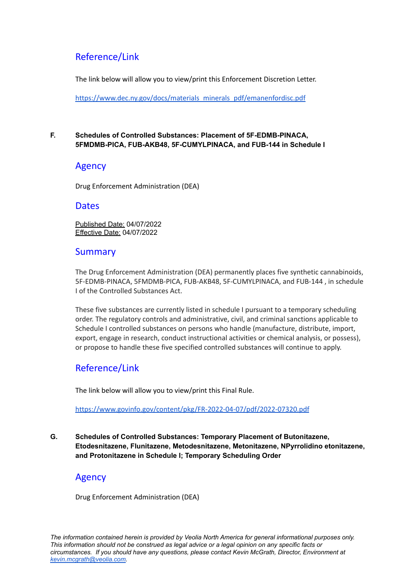# Reference/Link

The link below will allow you to view/print this Enforcement Discretion Letter.

[https://www.dec.ny.gov/docs/materials\\_minerals\\_pdf/emanenfordisc.pdf](https://www.dec.ny.gov/docs/materials_minerals_pdf/emanenfordisc.pdf)

#### <span id="page-7-0"></span>**F. Schedules of Controlled Substances: Placement of 5F-EDMB-PINACA, 5FMDMB-PICA, FUB-AKB48, 5F-CUMYLPINACA, and FUB-144 in Schedule I**

## Agency

Drug Enforcement Administration (DEA)

## **Dates**

Published Date: 04/07/2022 Effective Date: 04/07/2022

## Summary

The Drug Enforcement Administration (DEA) permanently places five synthetic cannabinoids, 5F-EDMB-PINACA, 5FMDMB-PICA, FUB-AKB48, 5F-CUMYLPINACA, and FUB-144 , in schedule I of the Controlled Substances Act.

These five substances are currently listed in schedule I pursuant to a temporary scheduling order. The regulatory controls and administrative, civil, and criminal sanctions applicable to Schedule I controlled substances on persons who handle (manufacture, distribute, import, export, engage in research, conduct instructional activities or chemical analysis, or possess), or propose to handle these five specified controlled substances will continue to apply.

# Reference/Link

The link below will allow you to view/print this Final Rule.

<https://www.govinfo.gov/content/pkg/FR-2022-04-07/pdf/2022-07320.pdf>

<span id="page-7-1"></span>**G. Schedules of Controlled Substances: Temporary Placement of Butonitazene, Etodesnitazene, Flunitazene, Metodesnitazene, Metonitazene, NPyrrolidino etonitazene, and Protonitazene in Schedule I; Temporary Scheduling Order**

# Agency

Drug Enforcement Administration (DEA)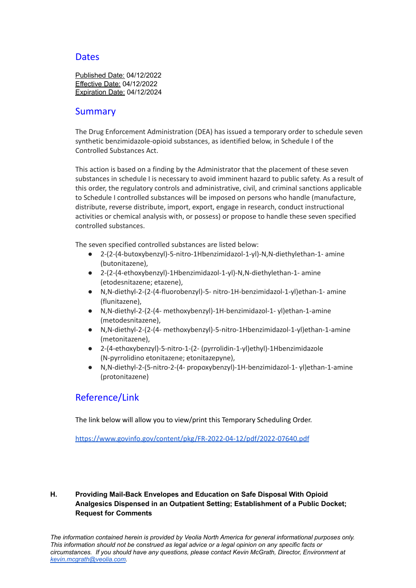# **Dates**

Published Date: 04/12/2022 Effective Date: 04/12/2022 Expiration Date: 04/12/2024

## Summary

The Drug Enforcement Administration (DEA) has issued a temporary order to schedule seven synthetic benzimidazole-opioid substances, as identified below, in Schedule I of the Controlled Substances Act.

This action is based on a finding by the Administrator that the placement of these seven substances in schedule I is necessary to avoid imminent hazard to public safety. As a result of this order, the regulatory controls and administrative, civil, and criminal sanctions applicable to Schedule I controlled substances will be imposed on persons who handle (manufacture, distribute, reverse distribute, import, export, engage in research, conduct instructional activities or chemical analysis with, or possess) or propose to handle these seven specified controlled substances.

The seven specified controlled substances are listed below:

- 2-(2-(4-butoxybenzyl)-5-nitro-1Hbenzimidazol-1-yl)-N,N-diethylethan-1- amine (butonitazene),
- 2-(2-(4-ethoxybenzyl)-1Hbenzimidazol-1-yl)-N,N-diethylethan-1- amine (etodesnitazene; etazene),
- N,N-diethyl-2-(2-(4-fluorobenzyl)-5- nitro-1H-benzimidazol-1-yl)ethan-1- amine (flunitazene),
- N,N-diethyl-2-(2-(4- methoxybenzyl)-1H-benzimidazol-1- yl)ethan-1-amine (metodesnitazene),
- N,N-diethyl-2-(2-(4- methoxybenzyl)-5-nitro-1Hbenzimidazol-1-yl)ethan-1-amine (metonitazene),
- 2-(4-ethoxybenzyl)-5-nitro-1-(2- (pyrrolidin-1-yl)ethyl)-1Hbenzimidazole (N-pyrrolidino etonitazene; etonitazepyne),
- N,N-diethyl-2-(5-nitro-2-(4- propoxybenzyl)-1H-benzimidazol-1- yl)ethan-1-amine (protonitazene)

# Reference/Link

The link below will allow you to view/print this Temporary Scheduling Order.

<https://www.govinfo.gov/content/pkg/FR-2022-04-12/pdf/2022-07640.pdf>

#### <span id="page-8-0"></span>**H. Providing Mail-Back Envelopes and Education on Safe Disposal With Opioid Analgesics Dispensed in an Outpatient Setting; Establishment of a Public Docket; Request for Comments**